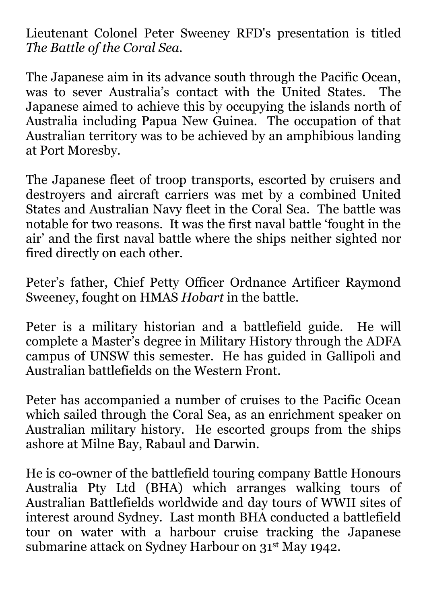Lieutenant Colonel Peter Sweeney RFD's presentation is titled *The Battle of the Coral Sea.*

The Japanese aim in its advance south through the Pacific Ocean, was to sever Australia's contact with the United States. The Japanese aimed to achieve this by occupying the islands north of Australia including Papua New Guinea. The occupation of that Australian territory was to be achieved by an amphibious landing at Port Moresby.

The Japanese fleet of troop transports, escorted by cruisers and destroyers and aircraft carriers was met by a combined United States and Australian Navy fleet in the Coral Sea. The battle was notable for two reasons. It was the first naval battle 'fought in the air' and the first naval battle where the ships neither sighted nor fired directly on each other.

Peter's father, Chief Petty Officer Ordnance Artificer Raymond Sweeney, fought on HMAS *Hobart* in the battle.

Peter is a military historian and a battlefield guide. He will complete a Master's degree in Military History through the ADFA campus of UNSW this semester. He has guided in Gallipoli and Australian battlefields on the Western Front.

Peter has accompanied a number of cruises to the Pacific Ocean which sailed through the Coral Sea, as an enrichment speaker on Australian military history. He escorted groups from the ships ashore at Milne Bay, Rabaul and Darwin.

He is co-owner of the battlefield touring company Battle Honours Australia Pty Ltd (BHA) which arranges walking tours of Australian Battlefields worldwide and day tours of WWII sites of interest around Sydney. Last month BHA conducted a battlefield tour on water with a harbour cruise tracking the Japanese submarine attack on Sydney Harbour on 31st May 1942.